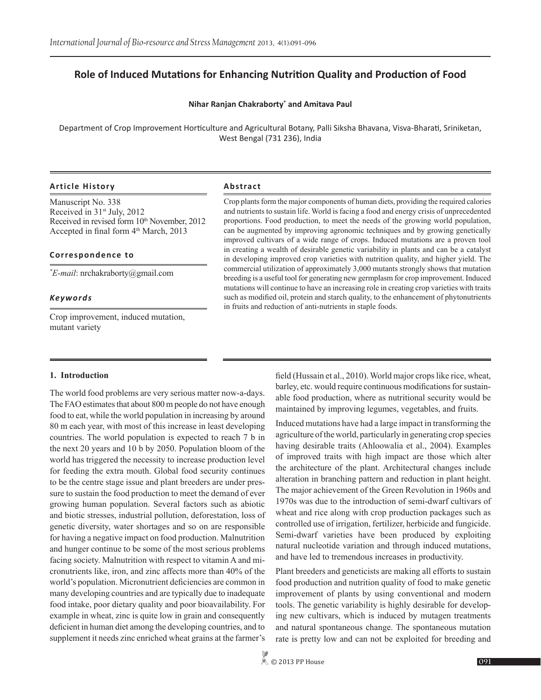# **Role of Induced Mutations for Enhancing Nutrition Quality and Production of Food**

#### **Nihar Ranjan Chakraborty\* and Amitava Paul**

Department of Crop Improvement Horticulture and Agricultural Botany, Palli Siksha Bhavana, Visva-Bharati, Sriniketan, West Bengal (731 236), India

#### **Article History Abstract**

Manuscript No. 338 Received in  $31<sup>st</sup>$  July, 2012 Received in revised form  $10<sup>th</sup>$  November, 2012 Accepted in final form  $4<sup>th</sup> March, 2013$ 

#### **Correspondence to**

*\* E-mail*: nrchakraborty@gmail.com

#### *Keywords*

Crop improvement, induced mutation, mutant variety

Crop plants form the major components of human diets, providing the required calories and nutrients to sustain life. World is facing a food and energy crisis of unprecedented proportions. Food production, to meet the needs of the growing world population, can be augmented by improving agronomic techniques and by growing genetically improved cultivars of a wide range of crops. Induced mutations are a proven tool in creating a wealth of desirable genetic variability in plants and can be a catalyst in developing improved crop varieties with nutrition quality, and higher yield. The commercial utilization of approximately 3,000 mutants strongly shows that mutation breeding is a useful tool for generating new germplasm for crop improvement. Induced mutations will continue to have an increasing role in creating crop varieties with traits such as modified oil, protein and starch quality, to the enhancement of phytonutrients in fruits and reduction of anti-nutrients in staple foods.

#### **1. Introduction**

The world food problems are very serious matter now-a-days. The FAO estimates that about 800 m people do not have enough food to eat, while the world population in increasing by around 80 m each year, with most of this increase in least developing countries. The world population is expected to reach 7 b in the next 20 years and 10 b by 2050. Population bloom of the world has triggered the necessity to increase production level for feeding the extra mouth. Global food security continues to be the centre stage issue and plant breeders are under pressure to sustain the food production to meet the demand of ever growing human population. Several factors such as abiotic and biotic stresses, industrial pollution, deforestation, loss of genetic diversity, water shortages and so on are responsible for having a negative impact on food production. Malnutrition and hunger continue to be some of the most serious problems facing society. Malnutrition with respect to vitamin A and micronutrients like, iron, and zinc affects more than 40% of the world's population. Micronutrient deficiencies are common in many developing countries and are typically due to inadequate food intake, poor dietary quality and poor bioavailability. For example in wheat, zinc is quite low in grain and consequently deficient in human diet among the developing countries, and to supplement it needs zinc enriched wheat grains at the farmer's field (Hussain et al., 2010). World major crops like rice, wheat, barley, etc. would require continuous modifications for sustainable food production, where as nutritional security would be maintained by improving legumes, vegetables, and fruits.

Induced mutations have had a large impact in transforming the agriculture of the world, particularly in generating crop species having desirable traits (Ahloowalia et al., 2004). Examples of improved traits with high impact are those which alter the architecture of the plant. Architectural changes include alteration in branching pattern and reduction in plant height. The major achievement of the Green Revolution in 1960s and 1970s was due to the introduction of semi-dwarf cultivars of wheat and rice along with crop production packages such as controlled use of irrigation, fertilizer, herbicide and fungicide. Semi-dwarf varieties have been produced by exploiting natural nucleotide variation and through induced mutations, and have led to tremendous increases in productivity.

Plant breeders and geneticists are making all efforts to sustain food production and nutrition quality of food to make genetic improvement of plants by using conventional and modern tools. The genetic variability is highly desirable for developing new cultivars, which is induced by mutagen treatments and natural spontaneous change. The spontaneous mutation rate is pretty low and can not be exploited for breeding and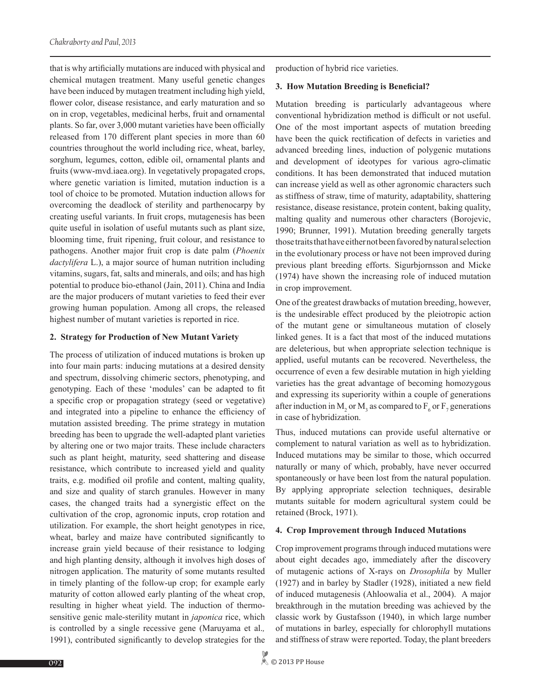that is why artificially mutations are induced with physical and chemical mutagen treatment. Many useful genetic changes have been induced by mutagen treatment including high yield, flower color, disease resistance, and early maturation and so on in crop, vegetables, medicinal herbs, fruit and ornamental plants. So far, over 3,000 mutant varieties have been officially released from 170 different plant species in more than 60 countries throughout the world including rice, wheat, barley, sorghum, legumes, cotton, edible oil, ornamental plants and fruits (www-mvd.iaea.org). In vegetatively propagated crops, where genetic variation is limited, mutation induction is a tool of choice to be promoted. Mutation induction allows for overcoming the deadlock of sterility and parthenocarpy by creating useful variants. In fruit crops, mutagenesis has been quite useful in isolation of useful mutants such as plant size, blooming time, fruit ripening, fruit colour, and resistance to pathogens. Another major fruit crop is date palm (*Phoenix dactylifera* L.), a major source of human nutrition including vitamins, sugars, fat, salts and minerals, and oils; and has high potential to produce bio-ethanol (Jain, 2011). China and India are the major producers of mutant varieties to feed their ever growing human population. Among all crops, the released highest number of mutant varieties is reported in rice.

#### **2. Strategy for Production of New Mutant Variety**

The process of utilization of induced mutations is broken up into four main parts: inducing mutations at a desired density and spectrum, dissolving chimeric sectors, phenotyping, and genotyping. Each of these 'modules' can be adapted to fit a specific crop or propagation strategy (seed or vegetative) and integrated into a pipeline to enhance the efficiency of mutation assisted breeding. The prime strategy in mutation breeding has been to upgrade the well-adapted plant varieties by altering one or two major traits. These include characters such as plant height, maturity, seed shattering and disease resistance, which contribute to increased yield and quality traits, e.g. modified oil profile and content, malting quality, and size and quality of starch granules. However in many cases, the changed traits had a synergistic effect on the cultivation of the crop, agronomic inputs, crop rotation and utilization. For example, the short height genotypes in rice, wheat, barley and maize have contributed significantly to increase grain yield because of their resistance to lodging and high planting density, although it involves high doses of nitrogen application. The maturity of some mutants resulted in timely planting of the follow-up crop; for example early maturity of cotton allowed early planting of the wheat crop, resulting in higher wheat yield. The induction of thermosensitive genic male-sterility mutant in *japonica* rice, which is controlled by a single recessive gene (Maruyama et al.*,* 1991), contributed significantly to develop strategies for the

production of hybrid rice varieties.

#### **3. How Mutation Breeding is Beneficial?**

Mutation breeding is particularly advantageous where conventional hybridization method is difficult or not useful. One of the most important aspects of mutation breeding have been the quick rectification of defects in varieties and advanced breeding lines, induction of polygenic mutations and development of ideotypes for various agro-climatic conditions. It has been demonstrated that induced mutation can increase yield as well as other agronomic characters such as stiffness of straw, time of maturity, adaptability, shattering resistance, disease resistance, protein content, baking quality, malting quality and numerous other characters (Borojevic, 1990; Brunner, 1991). Mutation breeding generally targets those traits that have either not been favored by natural selection in the evolutionary process or have not been improved during previous plant breeding efforts. Sigurbjornsson and Micke (1974) have shown the increasing role of induced mutation in crop improvement.

One of the greatest drawbacks of mutation breeding, however, is the undesirable effect produced by the pleiotropic action of the mutant gene or simultaneous mutation of closely linked genes. It is a fact that most of the induced mutations are deleterious, but when appropriate selection technique is applied, useful mutants can be recovered. Nevertheless, the occurrence of even a few desirable mutation in high yielding varieties has the great advantage of becoming homozygous and expressing its superiority within a couple of generations after induction in  $M_2$  or  $M_3$  as compared to  $F_6$  or  $F_7$  generations in case of hybridization.

Thus, induced mutations can provide useful alternative or complement to natural variation as well as to hybridization. Induced mutations may be similar to those, which occurred naturally or many of which, probably, have never occurred spontaneously or have been lost from the natural population. By applying appropriate selection techniques, desirable mutants suitable for modern agricultural system could be retained (Brock, 1971).

# **4. Crop Improvement through Induced Mutations**

Crop improvement programs through induced mutations were about eight decades ago, immediately after the discovery of mutagenic actions of X-rays on *Drosophila* by Muller (1927) and in barley by Stadler (1928), initiated a new field of induced mutagenesis (Ahloowalia et al., 2004). A major breakthrough in the mutation breeding was achieved by the classic work by Gustafsson (1940), in which large number of mutations in barley, especially for chlorophyll mutations and stiffness of straw were reported. Today, the plant breeders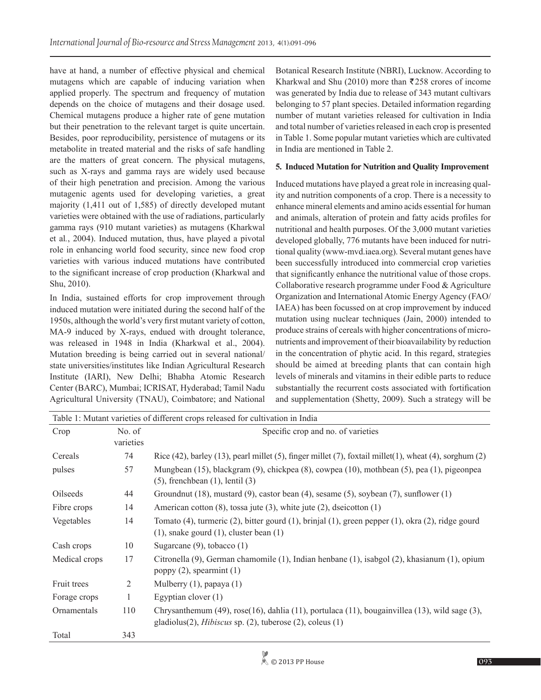have at hand, a number of effective physical and chemical mutagens which are capable of inducing variation when applied properly. The spectrum and frequency of mutation depends on the choice of mutagens and their dosage used. Chemical mutagens produce a higher rate of gene mutation but their penetration to the relevant target is quite uncertain. Besides, poor reproducibility, persistence of mutagens or its metabolite in treated material and the risks of safe handling are the matters of great concern. The physical mutagens, such as X-rays and gamma rays are widely used because of their high penetration and precision. Among the various mutagenic agents used for developing varieties, a great majority (1,411 out of 1,585) of directly developed mutant varieties were obtained with the use of radiations, particularly gamma rays (910 mutant varieties) as mutagens (Kharkwal et al*.*, 2004). Induced mutation, thus, have played a pivotal role in enhancing world food security, since new food crop varieties with various induced mutations have contributed to the significant increase of crop production (Kharkwal and Shu, 2010).

In India, sustained efforts for crop improvement through induced mutation were initiated during the second half of the 1950s, although the world's very first mutant variety of cotton, MA-9 induced by X-rays, endued with drought tolerance, was released in 1948 in India (Kharkwal et al., 2004). Mutation breeding is being carried out in several national/ state universities/institutes like Indian Agricultural Research Institute (IARI), New Delhi; Bhabha Atomic Research Center (BARC), Mumbai; ICRISAT, Hyderabad; Tamil Nadu Agricultural University (TNAU), Coimbatore; and National Botanical Research Institute (NBRI), Lucknow. According to Kharkwal and Shu (2010) more than  $\overline{2}$  258 crores of income was generated by India due to release of 343 mutant cultivars belonging to 57 plant species. Detailed information regarding number of mutant varieties released for cultivation in India and total number of varieties released in each crop is presented in Table 1. Some popular mutant varieties which are cultivated in India are mentioned in Table 2.

# **5. Induced Mutation for Nutrition and Quality Improvement**

Induced mutations have played a great role in increasing quality and nutrition components of a crop. There is a necessity to enhance mineral elements and amino acids essential for human and animals, alteration of protein and fatty acids profiles for nutritional and health purposes. Of the 3,000 mutant varieties developed globally, 776 mutants have been induced for nutritional quality (www-mvd.iaea.org). Several mutant genes have been successfully introduced into commercial crop varieties that significantly enhance the nutritional value of those crops. Collaborative research programme under Food & Agriculture Organization and International Atomic Energy Agency (FAO/ IAEA) has been focussed on at crop improvement by induced mutation using nuclear techniques (Jain, 2000) intended to produce strains of cereals with higher concentrations of micronutrients and improvement of their bioavailability by reduction in the concentration of phytic acid. In this regard, strategies should be aimed at breeding plants that can contain high levels of minerals and vitamins in their edible parts to reduce substantially the recurrent costs associated with fortification and supplementation (Shetty, 2009). Such a strategy will be

|               |                | Table 1: Mutant varieties of different crops released for cultivation in India                                                                                   |  |
|---------------|----------------|------------------------------------------------------------------------------------------------------------------------------------------------------------------|--|
| Crop          | No. of         | Specific crop and no. of varieties                                                                                                                               |  |
|               | varieties      |                                                                                                                                                                  |  |
| Cereals       | 74             | Rice $(42)$ , barley $(13)$ , pearl millet $(5)$ , finger millet $(7)$ , foxtail millet $(1)$ , wheat $(4)$ , sorghum $(2)$                                      |  |
| pulses        | 57             | Mungbean (15), blackgram (9), chickpea (8), cowpea (10), mothbean (5), pea (1), pigeonpea<br>$(5)$ , frenchbean $(1)$ , lentil $(3)$                             |  |
| Oilseeds      | 44             | Groundnut $(18)$ , mustard $(9)$ , castor bean $(4)$ , sesame $(5)$ , soybean $(7)$ , sunflower $(1)$                                                            |  |
| Fibre crops   | 14             | American cotton $(8)$ , tossa jute $(3)$ , white jute $(2)$ , dseicotton $(1)$                                                                                   |  |
| Vegetables    | 14             | Tomato (4), turmeric (2), bitter gourd (1), brinjal (1), green pepper (1), okra (2), ridge gourd<br>$(1)$ , snake gourd $(1)$ , cluster bean $(1)$               |  |
| Cash crops    | 10             | Sugarcane $(9)$ , tobacco $(1)$                                                                                                                                  |  |
| Medical crops | 17             | Citronella (9), German chamomile (1), Indian henbane (1), isabgol (2), khasianum (1), opium<br>poppy $(2)$ , spearmint $(1)$                                     |  |
| Fruit trees   | $\overline{2}$ | Mulberry $(1)$ , papaya $(1)$                                                                                                                                    |  |
| Forage crops  | 1              | Egyptian clover $(1)$                                                                                                                                            |  |
| Ornamentals   | 110            | Chrysanthemum (49), rose(16), dahlia (11), portulaca (11), bougainvillea (13), wild sage (3),<br>gladiolus(2), <i>Hibiscus</i> sp. (2), tuberose (2), coleus (1) |  |
| Total         | 343            |                                                                                                                                                                  |  |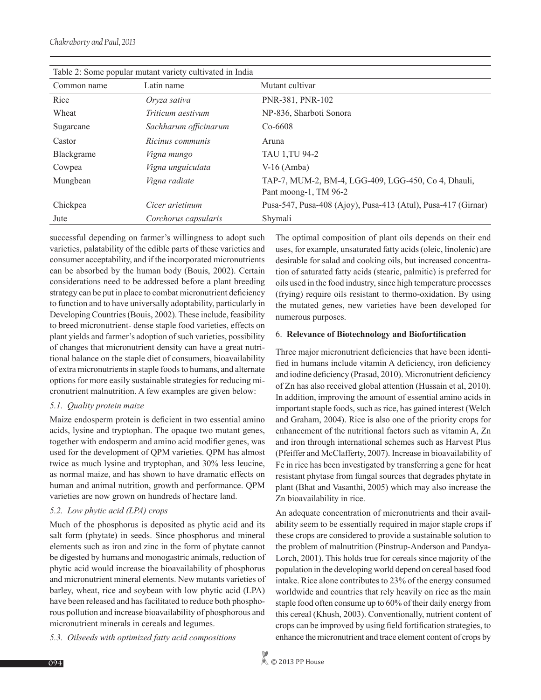| Table 2: Some popular mutant variety cultivated in India |                       |                                                               |  |  |
|----------------------------------------------------------|-----------------------|---------------------------------------------------------------|--|--|
| Common name                                              | Latin name            | Mutant cultivar                                               |  |  |
| Rice                                                     | Oryza sativa          | PNR-381, PNR-102                                              |  |  |
| Wheat                                                    | Triticum aestivum     | NP-836, Sharboti Sonora                                       |  |  |
| Sugarcane                                                | Sachharum officinarum | $Co-6608$                                                     |  |  |
| Castor                                                   | Ricinus communis      | Aruna                                                         |  |  |
| Blackgrame                                               | <i>Vigna mungo</i>    | TAU 1, TU 94-2                                                |  |  |
| Cowpea                                                   | Vigna unguiculata     | $V-16$ (Amba)                                                 |  |  |
| Mungbean                                                 | Vigna radiate         | TAP-7, MUM-2, BM-4, LGG-409, LGG-450, Co 4, Dhauli,           |  |  |
|                                                          |                       | Pant moong-1, TM 96-2                                         |  |  |
| Chickpea                                                 | Cicer arietinum       | Pusa-547, Pusa-408 (Ajoy), Pusa-413 (Atul), Pusa-417 (Girnar) |  |  |
| Jute                                                     | Corchorus capsularis  | Shymali                                                       |  |  |

successful depending on farmer's willingness to adopt such varieties, palatability of the edible parts of these varieties and consumer acceptability, and if the incorporated micronutrients can be absorbed by the human body (Bouis, 2002). Certain considerations need to be addressed before a plant breeding strategy can be put in place to combat micronutrient deficiency to function and to have universally adoptability, particularly in Developing Countries (Bouis, 2002). These include, feasibility to breed micronutrient- dense staple food varieties, effects on plant yields and farmer's adoption of such varieties, possibility of changes that micronutrient density can have a great nutritional balance on the staple diet of consumers, bioavailability of extra micronutrients in staple foods to humans, and alternate options for more easily sustainable strategies for reducing micronutrient malnutrition. A few examples are given below:

# *5.1. Quality protein maize*

Maize endosperm protein is deficient in two essential amino acids, lysine and tryptophan. The opaque two mutant genes, together with endosperm and amino acid modifier genes, was used for the development of QPM varieties. QPM has almost twice as much lysine and tryptophan, and 30% less leucine, as normal maize, and has shown to have dramatic effects on human and animal nutrition, growth and performance. QPM varieties are now grown on hundreds of hectare land.

# *5.2. Low phytic acid (LPA) crops*

Much of the phosphorus is deposited as phytic acid and its salt form (phytate) in seeds. Since phosphorus and mineral elements such as iron and zinc in the form of phytate cannot be digested by humans and monogastric animals, reduction of phytic acid would increase the bioavailability of phosphorus and micronutrient mineral elements. New mutants varieties of barley, wheat, rice and soybean with low phytic acid (LPA) have been released and has facilitated to reduce both phosphorous pollution and increase bioavailability of phosphorous and micronutrient minerals in cereals and legumes.

*5.3. Oilseeds with optimized fatty acid compositions*

The optimal composition of plant oils depends on their end uses, for example, unsaturated fatty acids (oleic, linolenic) are desirable for salad and cooking oils, but increased concentration of saturated fatty acids (stearic, palmitic) is preferred for oils used in the food industry, since high temperature processes (frying) require oils resistant to thermo-oxidation. By using the mutated genes, new varieties have been developed for numerous purposes.

#### 6. **Relevance of Biotechnology and Biofortification**

Three major micronutrient deficiencies that have been identified in humans include vitamin A deficiency, iron deficiency and iodine deficiency (Prasad, 2010). Micronutrient deficiency of Zn has also received global attention (Hussain et al, 2010). In addition, improving the amount of essential amino acids in important staple foods, such as rice, has gained interest (Welch and Graham, 2004). Rice is also one of the priority crops for enhancement of the nutritional factors such as vitamin A, Zn and iron through international schemes such as Harvest Plus (Pfeiffer and McClafferty, 2007). Increase in bioavailability of Fe in rice has been investigated by transferring a gene for heat resistant phytase from fungal sources that degrades phytate in plant (Bhat and Vasanthi, 2005) which may also increase the Zn bioavailability in rice.

An adequate concentration of micronutrients and their availability seem to be essentially required in major staple crops if these crops are considered to provide a sustainable solution to the problem of malnutrition (Pinstrup-Anderson and Pandya-Lorch, 2001). This holds true for cereals since majority of the population in the developing world depend on cereal based food intake. Rice alone contributes to 23% of the energy consumed worldwide and countries that rely heavily on rice as the main staple food often consume up to 60% of their daily energy from this cereal (Khush, 2003). Conventionally, nutrient content of crops can be improved by using field fortification strategies, to enhance the micronutrient and trace element content of crops by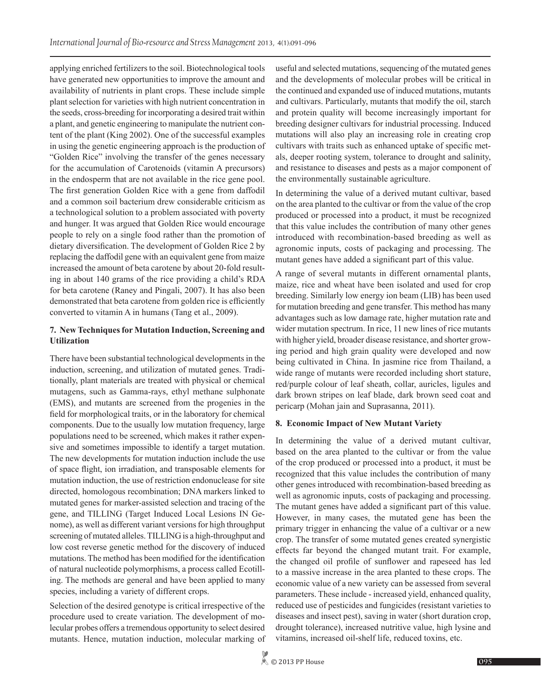applying enriched fertilizers to the soil. Biotechnological tools have generated new opportunities to improve the amount and availability of nutrients in plant crops. These include simple plant selection for varieties with high nutrient concentration in the seeds, cross-breeding for incorporating a desired trait within a plant, and genetic engineering to manipulate the nutrient content of the plant (King 2002). One of the successful examples in using the genetic engineering approach is the production of "Golden Rice" involving the transfer of the genes necessary for the accumulation of Carotenoids (vitamin A precursors) in the endosperm that are not available in the rice gene pool. The first generation Golden Rice with a gene from daffodil and a common soil bacterium drew considerable criticism as a technological solution to a problem associated with poverty and hunger. It was argued that Golden Rice would encourage people to rely on a single food rather than the promotion of dietary diversification. The development of Golden Rice 2 by replacing the daffodil gene with an equivalent gene from maize increased the amount of beta carotene by about 20-fold resulting in about 140 grams of the rice providing a child's RDA for beta carotene (Raney and Pingali, 2007). It has also been demonstrated that beta carotene from golden rice is efficiently converted to vitamin A in humans (Tang et al., 2009).

# **7. New Techniques for Mutation Induction, Screening and Utilization**

There have been substantial technological developments in the induction, screening, and utilization of mutated genes. Traditionally, plant materials are treated with physical or chemical mutagens, such as Gamma-rays, ethyl methane sulphonate (EMS), and mutants are screened from the progenies in the field for morphological traits, or in the laboratory for chemical components. Due to the usually low mutation frequency, large populations need to be screened, which makes it rather expensive and sometimes impossible to identify a target mutation. The new developments for mutation induction include the use of space flight, ion irradiation, and transposable elements for mutation induction, the use of restriction endonuclease for site directed, homologous recombination; DNA markers linked to mutated genes for marker-assisted selection and tracing of the gene, and TILLING (Target Induced Local Lesions IN Genome), as well as different variant versions for high throughput screening of mutated alleles. TILLING is a high-throughput and low cost reverse genetic method for the discovery of induced mutations. The method has been modified for the identification of natural nucleotide polymorphisms, a process called Ecotilling. The methods are general and have been applied to many species, including a variety of different crops.

Selection of the desired genotype is critical irrespective of the procedure used to create variation. The development of molecular probes offers a tremendous opportunity to select desired mutants. Hence, mutation induction, molecular marking of useful and selected mutations, sequencing of the mutated genes and the developments of molecular probes will be critical in the continued and expanded use of induced mutations, mutants and cultivars. Particularly, mutants that modify the oil, starch and protein quality will become increasingly important for breeding designer cultivars for industrial processing. Induced mutations will also play an increasing role in creating crop cultivars with traits such as enhanced uptake of specific metals, deeper rooting system, tolerance to drought and salinity, and resistance to diseases and pests as a major component of the environmentally sustainable agriculture.

In determining the value of a derived mutant cultivar, based on the area planted to the cultivar or from the value of the crop produced or processed into a product, it must be recognized that this value includes the contribution of many other genes introduced with recombination-based breeding as well as agronomic inputs, costs of packaging and processing. The mutant genes have added a significant part of this value.

A range of several mutants in different ornamental plants, maize, rice and wheat have been isolated and used for crop breeding. Similarly low energy ion beam (LIB) has been used for mutation breeding and gene transfer. This method has many advantages such as low damage rate, higher mutation rate and wider mutation spectrum. In rice, 11 new lines of rice mutants with higher yield, broader disease resistance, and shorter growing period and high grain quality were developed and now being cultivated in China. In jasmine rice from Thailand, a wide range of mutants were recorded including short stature, red/purple colour of leaf sheath, collar, auricles, ligules and dark brown stripes on leaf blade, dark brown seed coat and pericarp (Mohan jain and Suprasanna, 2011).

# **8. Economic Impact of New Mutant Variety**

In determining the value of a derived mutant cultivar, based on the area planted to the cultivar or from the value of the crop produced or processed into a product, it must be recognized that this value includes the contribution of many other genes introduced with recombination-based breeding as well as agronomic inputs, costs of packaging and processing. The mutant genes have added a significant part of this value. However, in many cases, the mutated gene has been the primary trigger in enhancing the value of a cultivar or a new crop. The transfer of some mutated genes created synergistic effects far beyond the changed mutant trait. For example, the changed oil profile of sunflower and rapeseed has led to a massive increase in the area planted to these crops. The economic value of a new variety can be assessed from several parameters. These include - increased yield, enhanced quality, reduced use of pesticides and fungicides (resistant varieties to diseases and insect pest), saving in water (short duration crop, drought tolerance), increased nutritive value, high lysine and vitamins, increased oil-shelf life, reduced toxins, etc.